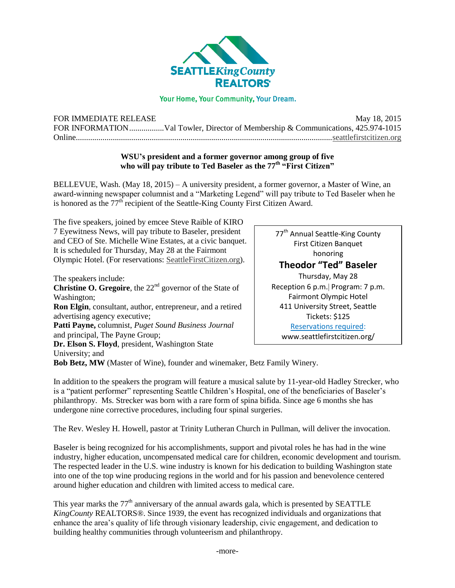

## Your Home, Your Community, Your Dream.

| FOR IMMEDIATE RELEASE |                                                                                  | May 18, 2015 |
|-----------------------|----------------------------------------------------------------------------------|--------------|
|                       | FOR INFORMATIONVal Towler, Director of Membership & Communications, 425.974-1015 |              |
|                       |                                                                                  |              |

## **WSU's president and a former governor among group of five who will pay tribute to Ted Baseler as the 77th "First Citizen"**

BELLEVUE, Wash. (May 18, 2015) – A university president, a former governor, a Master of Wine, an award-winning newspaper columnist and a "Marketing Legend" will pay tribute to Ted Baseler when he is honored as the  $77<sup>th</sup>$  recipient of the Seattle-King County First Citizen Award.

The five speakers, joined by emcee Steve Raible of KIRO 7 Eyewitness News, will pay tribute to Baseler, president and CEO of Ste. Michelle Wine Estates, at a civic banquet. It is scheduled for Thursday, May 28 at the Fairmont Olympic Hotel. (For reservations: [SeattleFirstCitizen.org\)](http://www.seattlefirstcitizen.org/).

The speakers include:

**Christine O. Gregoire**, the 22<sup>nd</sup> governor of the State of Washington; **Ron Elgin**, consultant, author, entrepreneur, and a retired advertising agency executive; **Patti Payne,** columnist, *Puget Sound Business Journal* and principal, The Payne Group; **Dr. Elson S. Floyd**, president, Washington State University; and

77<sup>th</sup> Annual Seattle-King County First Citizen Banquet honoring **Theodor "Ted" Baseler** Thursday, May 28 Reception 6 p.m. Program: 7 p.m. Fairmont Olympic Hotel 411 University Street, Seattle Tickets: \$125 [Reservations required:](http://www.seattlefirstcitizen.org/) www.seattlefirstcitizen.org/

**Bob Betz, MW** (Master of Wine), founder and winemaker, Betz Family Winery.

In addition to the speakers the program will feature a musical salute by 11-year-old Hadley Strecker, who is a "patient performer" representing Seattle Children's Hospital, one of the beneficiaries of Baseler's philanthropy. Ms. Strecker was born with a rare form of spina bifida. Since age 6 months she has undergone nine corrective procedures, including four spinal surgeries.

The Rev. Wesley H. Howell, pastor at Trinity Lutheran Church in Pullman, will deliver the invocation.

Baseler is being recognized for his accomplishments, support and pivotal roles he has had in the wine industry, higher education, uncompensated medical care for children, economic development and tourism. The respected leader in the U.S. wine industry is known for his dedication to building Washington state into one of the top wine producing regions in the world and for his passion and benevolence centered around higher education and children with limited access to medical care.

This year marks the  $77<sup>th</sup>$  anniversary of the annual awards gala, which is presented by SEATTLE *KingCounty* REALTORS®. Since 1939, the event has recognized individuals and organizations that enhance the area's quality of life through visionary leadership, civic engagement, and dedication to building healthy communities through volunteerism and philanthropy.